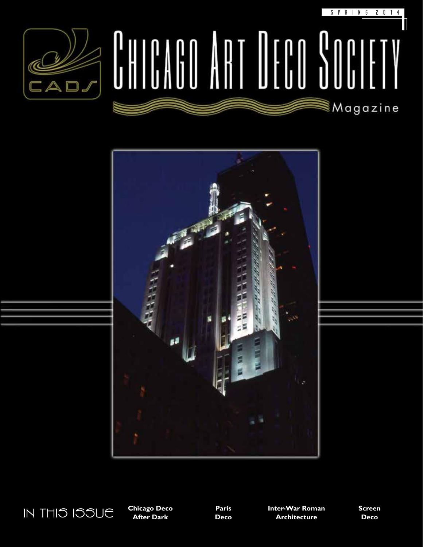

## S P R I N G 2 0 1 4  $\int_0^1\left|\frac{1}{1}\right|dx$ ■Magazine





**Chicago Deco After Dark**

**Paris Deco**

**Inter-War Roman Architecture**

**Screen Deco**